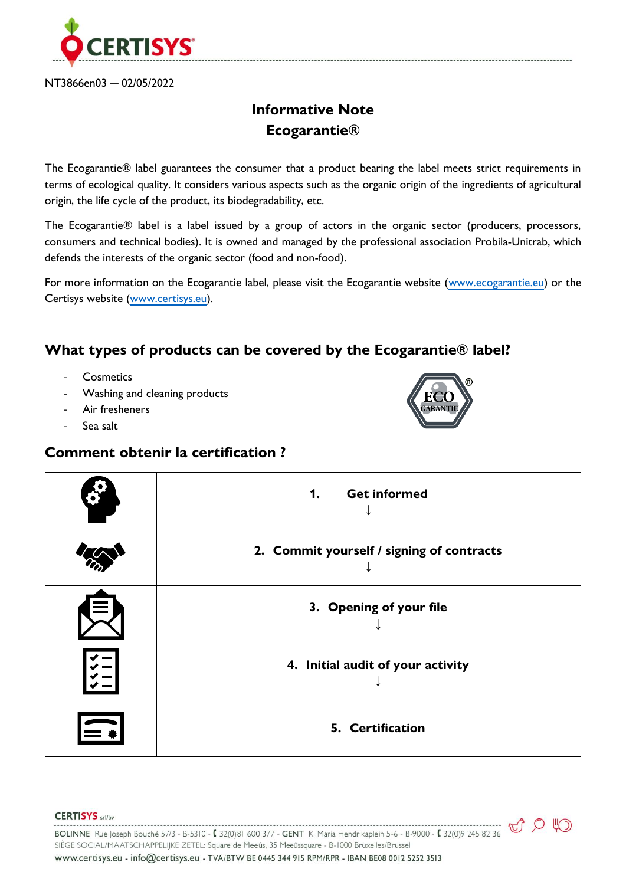

# **Informative Note Ecogarantie®**

The Ecogarantie® label guarantees the consumer that a product bearing the label meets strict requirements in terms of ecological quality. It considers various aspects such as the organic origin of the ingredients of agricultural origin, the life cycle of the product, its biodegradability, etc.

The Ecogarantie® label is a label issued by a group of actors in the organic sector (producers, processors, consumers and technical bodies). It is owned and managed by the professional association Probila-Unitrab, which defends the interests of the organic sector (food and non-food).

For more information on the Ecogarantie label, please visit the Ecogarantie website [\(www.ecogarantie.eu\)](http://www.ecogarantie.eu/) or the Certisys website [\(www.certisys.eu\)](http://www.certisys.eu/).

## **What types of products can be covered by the Ecogarantie® label?**

- **Cosmetics**
- Washing and cleaning products
- Air fresheners
- Sea salt

# **Comment obtenir la certification ?**



| <b>Get informed</b><br>1.                 |
|-------------------------------------------|
| 2. Commit yourself / signing of contracts |
| 3. Opening of your file                   |
| 4. Initial audit of your activity         |
| <b>5. Certification</b>                   |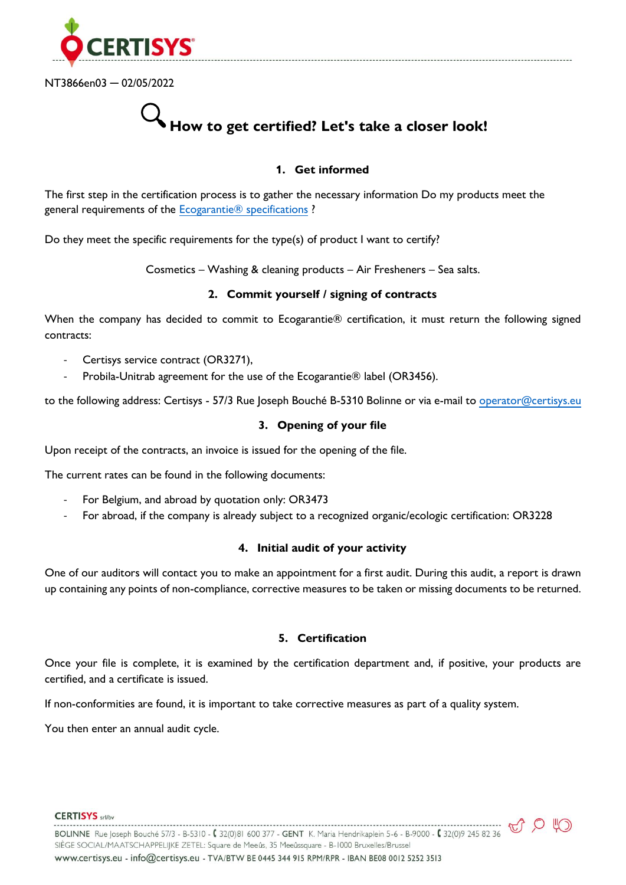

NT3866en03 ─ 02/05/2022

# **How to get certified? Let's take a closer look!**

#### **1. Get informed**

The first step in the certification process is to gather the necessary information Do my products meet the general requirements of the [Ecogarantie® specifications](https://ecogarantie.eu/wp-content/uploads/2022/01/Ecogarantie-Full-Standards.pdf) ?

Do they meet the specific requirements for the type(s) of product I want to certify?

Cosmetics – Washing & cleaning products – Air Fresheners – Sea salts.

#### **2. Commit yourself / signing of contracts**

When the company has decided to commit to Ecogarantie® certification, it must return the following signed contracts:

- Certisys service contract (OR3271),
- Probila-Unitrab agreement for the use of the Ecogarantie® label (OR3456).

to the following address: Certisys - 57/3 Rue Joseph Bouché B-5310 Bolinne or via e-mail t[o operator@certisys.eu](mailto:operator@certisys.eu)

#### **3. Opening of your file**

Upon receipt of the contracts, an invoice is issued for the opening of the file.

The current rates can be found in the following documents:

- For Belgium, and abroad by quotation only: OR3473
- For abroad, if the company is already subject to a recognized organic/ecologic certification: OR3228

#### **4. Initial audit of your activity**

One of our auditors will contact you to make an appointment for a first audit. During this audit, a report is drawn up containing any points of non-compliance, corrective measures to be taken or missing documents to be returned.

#### **5. Certification**

Once your file is complete, it is examined by the certification department and, if positive, your products are certified, and a certificate is issued.

If non-conformities are found, it is important to take corrective measures as part of a quality system.

You then enter an annual audit cycle.

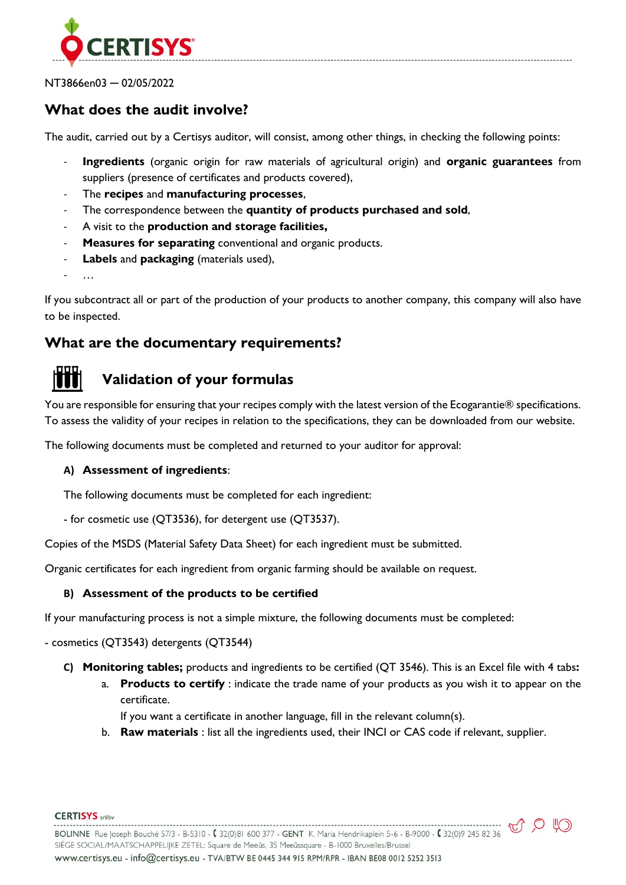

NT3866en03 ─ 02/05/2022

## **What does the audit involve?**

The audit, carried out by a Certisys auditor, will consist, among other things, in checking the following points:

- **Ingredients** (organic origin for raw materials of agricultural origin) and **organic guarantees** from suppliers (presence of certificates and products covered),
- The **recipes** and **manufacturing processes**,
- The correspondence between the **quantity of products purchased and sold**,
- A visit to the **production and storage facilities,**
- Measures for separating conventional and organic products.
- Labels and **packaging** (materials used),
- …

If you subcontract all or part of the production of your products to another company, this company will also have to be inspected.

### **What are the documentary requirements?**

# **Validation of your formulas**

You are responsible for ensuring that your recipes comply with the latest version of the Ecogarantie® specifications. To assess the validity of your recipes in relation to the specifications, they can be downloaded from our website.

The following documents must be completed and returned to your auditor for approval:

#### **A) Assessment of ingredients**:

The following documents must be completed for each ingredient:

- for cosmetic use (QT3536), for detergent use (QT3537).

Copies of the MSDS (Material Safety Data Sheet) for each ingredient must be submitted.

Organic certificates for each ingredient from organic farming should be available on request.

#### **B) Assessment of the products to be certified**

If your manufacturing process is not a simple mixture, the following documents must be completed:

- cosmetics (QT3543) detergents (QT3544)

- **C) Monitoring tables;** products and ingredients to be certified (QT 3546). This is an Excel file with 4 tabs**:**
	- a. **Products to certify** : indicate the trade name of your products as you wish it to appear on the certificate.

If you want a certificate in another language, fill in the relevant column(s).

b. **Raw materials** : list all the ingredients used, their INCI or CAS code if relevant, supplier.